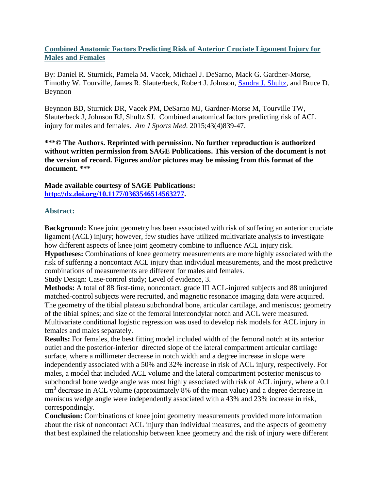## **Combined Anatomic Factors Predicting Risk of Anterior Cruciate Ligament Injury for Males and Females**

By: Daniel R. Sturnick, Pamela M. Vacek, Michael J. DeSarno, Mack G. Gardner-Morse, Timothy W. Tourville, James R. Slauterbeck, Robert J. Johnson, [Sandra J. Shultz,](https://libres.uncg.edu/ir/uncg/clist.aspx?id=2284) and Bruce D. Beynnon

Beynnon BD, Sturnick DR, Vacek PM, DeSarno MJ, Gardner-Morse M, Tourville TW, Slauterbeck J, Johnson RJ, Shultz SJ. Combined anatomical factors predicting risk of ACL injury for males and females. *Am J Sports Med*. 2015;43(4)839-47.

**\*\*\*© The Authors. Reprinted with permission. No further reproduction is authorized without written permission from SAGE Publications. This version of the document is not the version of record. Figures and/or pictures may be missing from this format of the document. \*\*\***

**Made available courtesy of SAGE Publications: [http://dx.doi.org/10.1177/0363546514563277.](http://dx.doi.org/10.1177/0363546514563277)**

## **Abstract:**

**Background:** Knee joint geometry has been associated with risk of suffering an anterior cruciate ligament (ACL) injury; however, few studies have utilized multivariate analysis to investigate how different aspects of knee joint geometry combine to influence ACL injury risk.

**Hypotheses:** Combinations of knee geometry measurements are more highly associated with the risk of suffering a noncontact ACL injury than individual measurements, and the most predictive combinations of measurements are different for males and females.

Study Design: Case-control study; Level of evidence, 3.

**Methods:** A total of 88 first-time, noncontact, grade III ACL-injured subjects and 88 uninjured matched-control subjects were recruited, and magnetic resonance imaging data were acquired. The geometry of the tibial plateau subchondral bone, articular cartilage, and meniscus; geometry of the tibial spines; and size of the femoral intercondylar notch and ACL were measured. Multivariate conditional logistic regression was used to develop risk models for ACL injury in females and males separately.

**Results:** For females, the best fitting model included width of the femoral notch at its anterior outlet and the posterior-inferior–directed slope of the lateral compartment articular cartilage surface, where a millimeter decrease in notch width and a degree increase in slope were independently associated with a 50% and 32% increase in risk of ACL injury, respectively. For males, a model that included ACL volume and the lateral compartment posterior meniscus to subchondral bone wedge angle was most highly associated with risk of ACL injury, where a 0.1 cm<sup>3</sup> decrease in ACL volume (approximately 8% of the mean value) and a degree decrease in meniscus wedge angle were independently associated with a 43% and 23% increase in risk, correspondingly.

**Conclusion:** Combinations of knee joint geometry measurements provided more information about the risk of noncontact ACL injury than individual measures, and the aspects of geometry that best explained the relationship between knee geometry and the risk of injury were different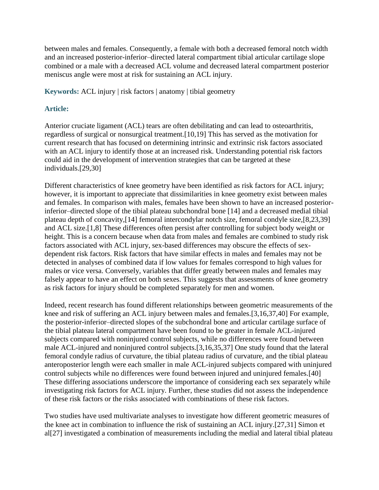between males and females. Consequently, a female with both a decreased femoral notch width and an increased posterior-inferior–directed lateral compartment tibial articular cartilage slope combined or a male with a decreased ACL volume and decreased lateral compartment posterior meniscus angle were most at risk for sustaining an ACL injury.

**Keywords:** ACL injury | risk factors | anatomy | tibial geometry

## **Article:**

Anterior cruciate ligament (ACL) tears are often debilitating and can lead to osteoarthritis, regardless of surgical or nonsurgical treatment.[10,19] This has served as the motivation for current research that has focused on determining intrinsic and extrinsic risk factors associated with an ACL injury to identify those at an increased risk. Understanding potential risk factors could aid in the development of intervention strategies that can be targeted at these individuals.[29,30]

Different characteristics of knee geometry have been identified as risk factors for ACL injury; however, it is important to appreciate that dissimilarities in knee geometry exist between males and females. In comparison with males, females have been shown to have an increased posteriorinferior–directed slope of the tibial plateau subchondral bone [14] and a decreased medial tibial plateau depth of concavity,[14] femoral intercondylar notch size, femoral condyle size,[8,23,39] and ACL size.[1,8] These differences often persist after controlling for subject body weight or height. This is a concern because when data from males and females are combined to study risk factors associated with ACL injury, sex-based differences may obscure the effects of sexdependent risk factors. Risk factors that have similar effects in males and females may not be detected in analyses of combined data if low values for females correspond to high values for males or vice versa. Conversely, variables that differ greatly between males and females may falsely appear to have an effect on both sexes. This suggests that assessments of knee geometry as risk factors for injury should be completed separately for men and women.

Indeed, recent research has found different relationships between geometric measurements of the knee and risk of suffering an ACL injury between males and females.[3,16,37,40] For example, the posterior-inferior–directed slopes of the subchondral bone and articular cartilage surface of the tibial plateau lateral compartment have been found to be greater in female ACL-injured subjects compared with noninjured control subjects, while no differences were found between male ACL-injured and noninjured control subjects.[3,16,35,37] One study found that the lateral femoral condyle radius of curvature, the tibial plateau radius of curvature, and the tibial plateau anteroposterior length were each smaller in male ACL-injured subjects compared with uninjured control subjects while no differences were found between injured and uninjured females.[40] These differing associations underscore the importance of considering each sex separately while investigating risk factors for ACL injury. Further, these studies did not assess the independence of these risk factors or the risks associated with combinations of these risk factors.

Two studies have used multivariate analyses to investigate how different geometric measures of the knee act in combination to influence the risk of sustaining an ACL injury.[27,31] Simon et al[27] investigated a combination of measurements including the medial and lateral tibial plateau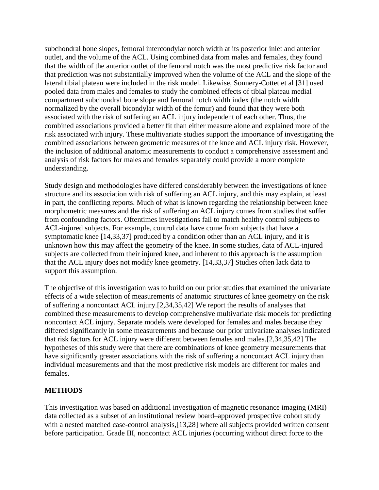subchondral bone slopes, femoral intercondylar notch width at its posterior inlet and anterior outlet, and the volume of the ACL. Using combined data from males and females, they found that the width of the anterior outlet of the femoral notch was the most predictive risk factor and that prediction was not substantially improved when the volume of the ACL and the slope of the lateral tibial plateau were included in the risk model. Likewise, Sonnery-Cottet et al [31] used pooled data from males and females to study the combined effects of tibial plateau medial compartment subchondral bone slope and femoral notch width index (the notch width normalized by the overall bicondylar width of the femur) and found that they were both associated with the risk of suffering an ACL injury independent of each other. Thus, the combined associations provided a better fit than either measure alone and explained more of the risk associated with injury. These multivariate studies support the importance of investigating the combined associations between geometric measures of the knee and ACL injury risk. However, the inclusion of additional anatomic measurements to conduct a comprehensive assessment and analysis of risk factors for males and females separately could provide a more complete understanding.

Study design and methodologies have differed considerably between the investigations of knee structure and its association with risk of suffering an ACL injury, and this may explain, at least in part, the conflicting reports. Much of what is known regarding the relationship between knee morphometric measures and the risk of suffering an ACL injury comes from studies that suffer from confounding factors. Oftentimes investigations fail to match healthy control subjects to ACL-injured subjects. For example, control data have come from subjects that have a symptomatic knee [14,33,37] produced by a condition other than an ACL injury, and it is unknown how this may affect the geometry of the knee. In some studies, data of ACL-injured subjects are collected from their injured knee, and inherent to this approach is the assumption that the ACL injury does not modify knee geometry. [14,33,37] Studies often lack data to support this assumption.

The objective of this investigation was to build on our prior studies that examined the univariate effects of a wide selection of measurements of anatomic structures of knee geometry on the risk of suffering a noncontact ACL injury.[2,34,35,42] We report the results of analyses that combined these measurements to develop comprehensive multivariate risk models for predicting noncontact ACL injury. Separate models were developed for females and males because they differed significantly in some measurements and because our prior univariate analyses indicated that risk factors for ACL injury were different between females and males.[2,34,35,42] The hypotheses of this study were that there are combinations of knee geometry measurements that have significantly greater associations with the risk of suffering a noncontact ACL injury than individual measurements and that the most predictive risk models are different for males and females.

## **METHODS**

This investigation was based on additional investigation of magnetic resonance imaging (MRI) data collected as a subset of an institutional review board–approved prospective cohort study with a nested matched case-control analysis, [13,28] where all subjects provided written consent before participation. Grade III, noncontact ACL injuries (occurring without direct force to the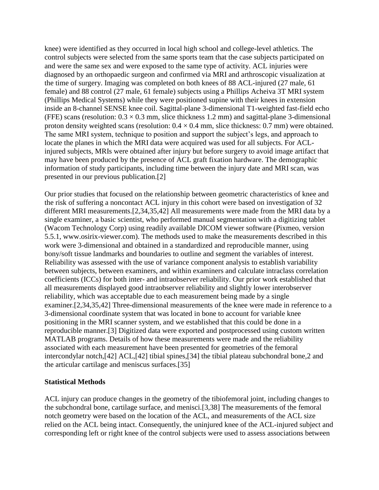knee) were identified as they occurred in local high school and college-level athletics. The control subjects were selected from the same sports team that the case subjects participated on and were the same sex and were exposed to the same type of activity. ACL injuries were diagnosed by an orthopaedic surgeon and confirmed via MRI and arthroscopic visualization at the time of surgery. Imaging was completed on both knees of 88 ACL-injured (27 male, 61 female) and 88 control (27 male, 61 female) subjects using a Phillips Acheiva 3T MRI system (Phillips Medical Systems) while they were positioned supine with their knees in extension inside an 8-channel SENSE knee coil. Sagittal-plane 3-dimensional T1-weighted fast-field echo (FFE) scans (resolution:  $0.3 \times 0.3$  mm, slice thickness 1.2 mm) and sagittal-plane 3-dimensional proton density weighted scans (resolution:  $0.4 \times 0.4$  mm, slice thickness: 0.7 mm) were obtained. The same MRI system, technique to position and support the subject's legs, and approach to locate the planes in which the MRI data were acquired was used for all subjects. For ACLinjured subjects, MRIs were obtained after injury but before surgery to avoid image artifact that may have been produced by the presence of ACL graft fixation hardware. The demographic information of study participants, including time between the injury date and MRI scan, was presented in our previous publication.[2]

Our prior studies that focused on the relationship between geometric characteristics of knee and the risk of suffering a noncontact ACL injury in this cohort were based on investigation of 32 different MRI measurements.[2,34,35,42] All measurements were made from the MRI data by a single examiner, a basic scientist, who performed manual segmentation with a digitizing tablet (Wacom Technology Corp) using readily available DICOM viewer software (Pixmeo, version 5.5.1, www.osirix-viewer.com). The methods used to make the measurements described in this work were 3-dimensional and obtained in a standardized and reproducible manner, using bony/soft tissue landmarks and boundaries to outline and segment the variables of interest. Reliability was assessed with the use of variance component analysis to establish variability between subjects, between examiners, and within examiners and calculate intraclass correlation coefficients (ICCs) for both inter- and intraobserver reliability. Our prior work established that all measurements displayed good intraobserver reliability and slightly lower interobserver reliability, which was acceptable due to each measurement being made by a single examiner.[2,34,35,42] Three-dimensional measurements of the knee were made in reference to a 3-dimensional coordinate system that was located in bone to account for variable knee positioning in the MRI scanner system, and we established that this could be done in a reproducible manner.[3] Digitized data were exported and postprocessed using custom written MATLAB programs. Details of how these measurements were made and the reliability associated with each measurement have been presented for geometries of the femoral intercondylar notch,[42] ACL,[42] tibial spines,[34] the tibial plateau subchondral bone,2 and the articular cartilage and meniscus surfaces.[35]

#### **Statistical Methods**

ACL injury can produce changes in the geometry of the tibiofemoral joint, including changes to the subchondral bone, cartilage surface, and menisci.[3,38] The measurements of the femoral notch geometry were based on the location of the ACL, and measurements of the ACL size relied on the ACL being intact. Consequently, the uninjured knee of the ACL-injured subject and corresponding left or right knee of the control subjects were used to assess associations between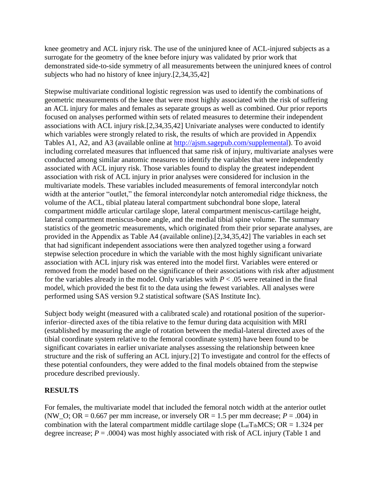knee geometry and ACL injury risk. The use of the uninjured knee of ACL-injured subjects as a surrogate for the geometry of the knee before injury was validated by prior work that demonstrated side-to-side symmetry of all measurements between the uninjured knees of control subjects who had no history of knee injury.[2,34,35,42]

Stepwise multivariate conditional logistic regression was used to identify the combinations of geometric measurements of the knee that were most highly associated with the risk of suffering an ACL injury for males and females as separate groups as well as combined. Our prior reports focused on analyses performed within sets of related measures to determine their independent associations with ACL injury risk.[2,34,35,42] Univariate analyses were conducted to identify which variables were strongly related to risk, the results of which are provided in Appendix Tables A1, A2, and A3 (available online at [http://ajsm.sagepub.com/supplemental\)](http://ajsm.sagepub.com/supplemental). To avoid including correlated measures that influenced that same risk of injury, multivariate analyses were conducted among similar anatomic measures to identify the variables that were independently associated with ACL injury risk. Those variables found to display the greatest independent association with risk of ACL injury in prior analyses were considered for inclusion in the multivariate models. These variables included measurements of femoral intercondylar notch width at the anterior "outlet," the femoral intercondylar notch anteromedial ridge thickness, the volume of the ACL, tibial plateau lateral compartment subchondral bone slope, lateral compartment middle articular cartilage slope, lateral compartment meniscus-cartilage height, lateral compartment meniscus-bone angle, and the medial tibial spine volume. The summary statistics of the geometric measurements, which originated from their prior separate analyses, are provided in the Appendix as Table A4 (available online).[2,34,35,42] The variables in each set that had significant independent associations were then analyzed together using a forward stepwise selection procedure in which the variable with the most highly significant univariate association with ACL injury risk was entered into the model first. Variables were entered or removed from the model based on the significance of their associations with risk after adjustment for the variables already in the model. Only variables with  $P < .05$  were retained in the final model, which provided the best fit to the data using the fewest variables. All analyses were performed using SAS version 9.2 statistical software (SAS Institute Inc).

Subject body weight (measured with a calibrated scale) and rotational position of the superiorinferior–directed axes of the tibia relative to the femur during data acquisition with MRI (established by measuring the angle of rotation between the medial-lateral directed axes of the tibial coordinate system relative to the femoral coordinate system) have been found to be significant covariates in earlier univariate analyses assessing the relationship between knee structure and the risk of suffering an ACL injury.[2] To investigate and control for the effects of these potential confounders, they were added to the final models obtained from the stepwise procedure described previously.

## **RESULTS**

For females, the multivariate model that included the femoral notch width at the anterior outlet (NW\_O; OR =  $0.667$  per mm increase, or inversely OR = 1.5 per mm decrease;  $P = .004$ ) in combination with the lateral compartment middle cartilage slope ( $L_{at}T_{ib}MCS$ ; OR = 1.324 per degree increase;  $P = .0004$ ) was most highly associated with risk of ACL injury (Table 1 and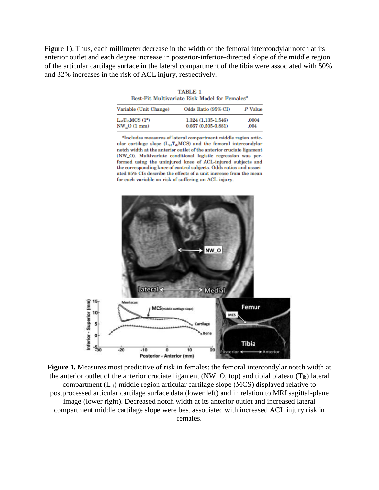Figure 1). Thus, each millimeter decrease in the width of the femoral intercondylar notch at its anterior outlet and each degree increase in posterior-inferior–directed slope of the middle region of the articular cartilage surface in the lateral compartment of the tibia were associated with 50% and 32% increases in the risk of ACL injury, respectively.

**TABLE 1** Best-Fit Multivariate Risk Model for Females<sup>a</sup>

| Variable (Unit Change) | Odds Ratio (95% CD)    | P Value |
|------------------------|------------------------|---------|
| $L_{at}T_{ib}MCS(1°)$  | $1.324(1.135-1.546)$   | .0004   |
| $NW_0(1 m m)$          | $0.667(0.505 - 0.881)$ | .004    |

<sup>a</sup>Includes measures of lateral compartment middle region articular cartilage slope (L<sub>at</sub>T<sub>ib</sub>MCS) and the femoral intercondylar notch width at the anterior outlet of the anterior cruciate ligament (NW\_O). Multivariate conditional logistic regression was performed using the uninjured knee of ACL-injured subjects and the corresponding knee of control subjects. Odds ratios and associated 95% CIs describe the effects of a unit increase from the mean for each variable on risk of suffering an ACL injury.



**Figure 1.** Measures most predictive of risk in females: the femoral intercondylar notch width at the anterior outlet of the anterior cruciate ligament (NW\_O, top) and tibial plateau ( $T_{ib}$ ) lateral compartment (Lat) middle region articular cartilage slope (MCS) displayed relative to postprocessed articular cartilage surface data (lower left) and in relation to MRI sagittal-plane image (lower right). Decreased notch width at its anterior outlet and increased lateral compartment middle cartilage slope were best associated with increased ACL injury risk in females.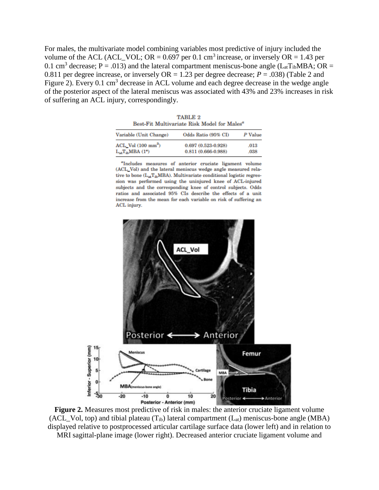For males, the multivariate model combining variables most predictive of injury included the volume of the ACL (ACL VOL; OR =  $0.697$  per 0.1 cm<sup>3</sup> increase, or inversely OR = 1.43 per 0.1 cm<sup>3</sup> decrease; P = .013) and the lateral compartment meniscus-bone angle ( $L_{at}T_{ib}MBA$ ; OR = 0.811 per degree increase, or inversely  $OR = 1.23$  per degree decrease;  $P = .038$ ) (Table 2 and Figure 2). Every 0.1 cm<sup>3</sup> decrease in ACL volume and each degree decrease in the wedge angle of the posterior aspect of the lateral meniscus was associated with 43% and 23% increases in risk of suffering an ACL injury, correspondingly.

TABLE 2 Best-Fit Multivariate Risk Model for Males<sup>a</sup>

| Variable (Unit Change)         | Odds Ratio (95% CI)    | P Value |
|--------------------------------|------------------------|---------|
| $ACL$ Vol $(100 \text{ mm}^3)$ | 0.697 (0.523-0.928)    | .013    |
| $L_{at}T_{ib}MBA(1°)$          | $0.811(0.666 - 0.988)$ | .038    |

"Includes measures of anterior cruciate ligament volume (ACL\_Vol) and the lateral meniscus wedge angle measured relative to bone (L<sub>at</sub>T<sub>ib</sub>MBA). Multivariate conditional logistic regression was performed using the uninjured knee of ACL-injured subjects and the corresponding knee of control subjects. Odds ratios and associated 95% CIs describe the effects of a unit increase from the mean for each variable on risk of suffering an ACL injury.



**Figure 2.** Measures most predictive of risk in males: the anterior cruciate ligament volume  $(ACL\_Vol, top)$  and tibial plateau  $(T_{ib})$  lateral compartment  $(L_{at})$  meniscus-bone angle  $(MBA)$ displayed relative to postprocessed articular cartilage surface data (lower left) and in relation to MRI sagittal-plane image (lower right). Decreased anterior cruciate ligament volume and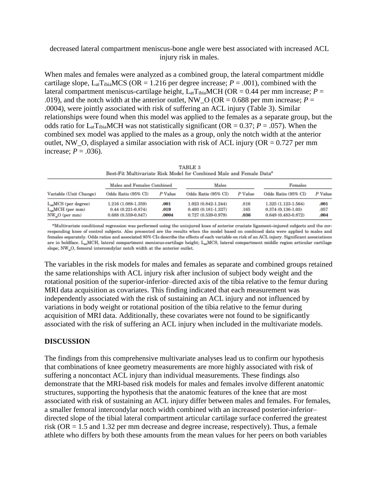## decreased lateral compartment meniscus-bone angle were best associated with increased ACL injury risk in males.

When males and females were analyzed as a combined group, the lateral compartment middle cartilage slope,  $L_{at}T_{ibia}MCS$  (OR = 1.216 per degree increase;  $P = .001$ ), combined with the lateral compartment meniscus-cartilage height,  $L_{at}T_{ibia}MCH$  (OR = 0.44 per mm increase; *P* = .019), and the notch width at the anterior outlet, NW  $\overline{O}$  (OR = 0.688 per mm increase; *P* = .0004), were jointly associated with risk of suffering an ACL injury (Table 3). Similar relationships were found when this model was applied to the females as a separate group, but the odds ratio for  $L_{at}T_{ibia}MCH$  was not statistically significant ( $OR = 0.37$ ;  $P = .057$ ). When the combined sex model was applied to the males as a group, only the notch width at the anterior outlet, NW\_O, displayed a similar association with risk of ACL injury ( $OR = 0.727$  per mm increase;  $P = .036$ ).

| Best-Fit Multivariate Risk Model for Combined Male and Female Data <sup>a</sup> |                                                                    |                       |                                                                      |                      |                                                                    |                      |  |  |  |
|---------------------------------------------------------------------------------|--------------------------------------------------------------------|-----------------------|----------------------------------------------------------------------|----------------------|--------------------------------------------------------------------|----------------------|--|--|--|
|                                                                                 | Males and Females Combined                                         |                       | Males                                                                |                      | Females                                                            |                      |  |  |  |
| Variable (Unit Change)                                                          | Odds Ratio (95% CD)                                                | P Value               | Odds Ratio (95% CI)                                                  | P Value              | Odds Ratio (95% CI)                                                | P Value              |  |  |  |
| $L_{\rm st}$ MCS (per degree)<br>$L_{at}MCH$ (per mm)<br>$NW_O$ (per mm)        | 1.216 (1.088-1.359)<br>$0.44(0.221-0.874)$<br>$0.688(0.559-0.847)$ | .001<br>.019<br>.0004 | 1.023 (0.842-1.244)<br>$0.493(0.181 - 1.337)$<br>0.727 (0.539-0.979) | .816<br>.165<br>.036 | $1.325(1.123-1.564)$<br>$0.374(0.136-1.03)$<br>0.649 (0.483-0.872) | .001<br>.057<br>.004 |  |  |  |

**TABLE 3** 

"Multivariate conditional regression was performed using the uninjured knee of anterior cruciate ligament-injured subjects and the corresponding knee of control subjects. Also presented are the results when the model based on combined data were applied to males and females separately. Odds ratios and associated 95% CIs describe the effects of each variable on risk of an ACL injury. Significant associations are in boldface. L<sub>at</sub>MCH, lateral compartment meniscus-cartilage height; L<sub>at</sub>MCS, lateral compartment middle region articular cartilage slope; NW\_O, femoral intercondylar notch width at the anterior outlet.

The variables in the risk models for males and females as separate and combined groups retained the same relationships with ACL injury risk after inclusion of subject body weight and the rotational position of the superior-inferior–directed axis of the tibia relative to the femur during MRI data acquisition as covariates. This finding indicated that each measurement was independently associated with the risk of sustaining an ACL injury and not influenced by variations in body weight or rotational position of the tibia relative to the femur during acquisition of MRI data. Additionally, these covariates were not found to be significantly associated with the risk of suffering an ACL injury when included in the multivariate models.

#### **DISCUSSION**

The findings from this comprehensive multivariate analyses lead us to confirm our hypothesis that combinations of knee geometry measurements are more highly associated with risk of suffering a noncontact ACL injury than individual measurements. These findings also demonstrate that the MRI-based risk models for males and females involve different anatomic structures, supporting the hypothesis that the anatomic features of the knee that are most associated with risk of sustaining an ACL injury differ between males and females. For females, a smaller femoral intercondylar notch width combined with an increased posterior-inferior– directed slope of the tibial lateral compartment articular cartilage surface conferred the greatest risk (OR = 1.5 and 1.32 per mm decrease and degree increase, respectively). Thus, a female athlete who differs by both these amounts from the mean values for her peers on both variables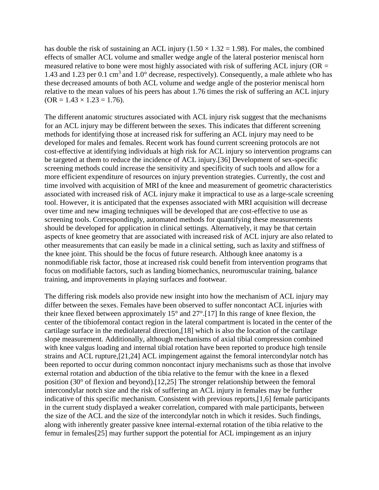has double the risk of sustaining an ACL injury  $(1.50 \times 1.32 = 1.98)$ . For males, the combined effects of smaller ACL volume and smaller wedge angle of the lateral posterior meniscal horn measured relative to bone were most highly associated with risk of suffering ACL injury ( $OR =$ 1.43 and 1.23 per 0.1 cm<sup>3</sup> and  $1.0^{\circ}$  decrease, respectively). Consequently, a male athlete who has these decreased amounts of both ACL volume and wedge angle of the posterior meniscal horn relative to the mean values of his peers has about 1.76 times the risk of suffering an ACL injury  $(OR = 1.43 \times 1.23 = 1.76).$ 

The different anatomic structures associated with ACL injury risk suggest that the mechanisms for an ACL injury may be different between the sexes. This indicates that different screening methods for identifying those at increased risk for suffering an ACL injury may need to be developed for males and females. Recent work has found current screening protocols are not cost-effective at identifying individuals at high risk for ACL injury so intervention programs can be targeted at them to reduce the incidence of ACL injury.[36] Development of sex-specific screening methods could increase the sensitivity and specificity of such tools and allow for a more efficient expenditure of resources on injury prevention strategies. Currently, the cost and time involved with acquisition of MRI of the knee and measurement of geometric characteristics associated with increased risk of ACL injury make it impractical to use as a large-scale screening tool. However, it is anticipated that the expenses associated with MRI acquisition will decrease over time and new imaging techniques will be developed that are cost-effective to use as screening tools. Correspondingly, automated methods for quantifying these measurements should be developed for application in clinical settings. Alternatively, it may be that certain aspects of knee geometry that are associated with increased risk of ACL injury are also related to other measurements that can easily be made in a clinical setting, such as laxity and stiffness of the knee joint. This should be the focus of future research. Although knee anatomy is a nonmodifiable risk factor, those at increased risk could benefit from intervention programs that focus on modifiable factors, such as landing biomechanics, neuromuscular training, balance training, and improvements in playing surfaces and footwear.

The differing risk models also provide new insight into how the mechanism of ACL injury may differ between the sexes. Females have been observed to suffer noncontact ACL injuries with their knee flexed between approximately 15° and 27°.[17] In this range of knee flexion, the center of the tibiofemoral contact region in the lateral compartment is located in the center of the cartilage surface in the mediolateral direction,[18] which is also the location of the cartilage slope measurement. Additionally, although mechanisms of axial tibial compression combined with knee valgus loading and internal tibial rotation have been reported to produce high tensile strains and ACL rupture,[21,24] ACL impingement against the femoral intercondylar notch has been reported to occur during common noncontact injury mechanisms such as those that involve external rotation and abduction of the tibia relative to the femur with the knee in a flexed position (30° of flexion and beyond).[12,25] The stronger relationship between the femoral intercondylar notch size and the risk of suffering an ACL injury in females may be further indicative of this specific mechanism. Consistent with previous reports,[1,6] female participants in the current study displayed a weaker correlation, compared with male participants, between the size of the ACL and the size of the intercondylar notch in which it resides. Such findings, along with inherently greater passive knee internal-external rotation of the tibia relative to the femur in females[25] may further support the potential for ACL impingement as an injury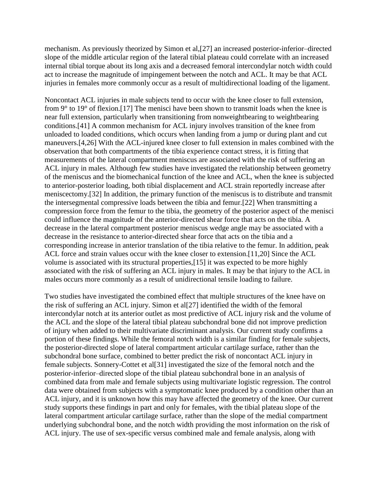mechanism. As previously theorized by Simon et al,[27] an increased posterior-inferior–directed slope of the middle articular region of the lateral tibial plateau could correlate with an increased internal tibial torque about its long axis and a decreased femoral intercondylar notch width could act to increase the magnitude of impingement between the notch and ACL. It may be that ACL injuries in females more commonly occur as a result of multidirectional loading of the ligament.

Noncontact ACL injuries in male subjects tend to occur with the knee closer to full extension, from  $9^{\circ}$  to  $19^{\circ}$  of flexion.[17] The menisci have been shown to transmit loads when the knee is near full extension, particularly when transitioning from nonweightbearing to weightbearing conditions.[41] A common mechanism for ACL injury involves transition of the knee from unloaded to loaded conditions, which occurs when landing from a jump or during plant and cut maneuvers.[4,26] With the ACL-injured knee closer to full extension in males combined with the observation that both compartments of the tibia experience contact stress, it is fitting that measurements of the lateral compartment meniscus are associated with the risk of suffering an ACL injury in males. Although few studies have investigated the relationship between geometry of the meniscus and the biomechanical function of the knee and ACL, when the knee is subjected to anterior-posterior loading, both tibial displacement and ACL strain reportedly increase after meniscectomy.[32] In addition, the primary function of the meniscus is to distribute and transmit the intersegmental compressive loads between the tibia and femur.[22] When transmitting a compression force from the femur to the tibia, the geometry of the posterior aspect of the menisci could influence the magnitude of the anterior-directed shear force that acts on the tibia. A decrease in the lateral compartment posterior meniscus wedge angle may be associated with a decrease in the resistance to anterior-directed shear force that acts on the tibia and a corresponding increase in anterior translation of the tibia relative to the femur. In addition, peak ACL force and strain values occur with the knee closer to extension.[11,20] Since the ACL volume is associated with its structural properties,[15] it was expected to be more highly associated with the risk of suffering an ACL injury in males. It may be that injury to the ACL in males occurs more commonly as a result of unidirectional tensile loading to failure.

Two studies have investigated the combined effect that multiple structures of the knee have on the risk of suffering an ACL injury. Simon et al[27] identified the width of the femoral intercondylar notch at its anterior outlet as most predictive of ACL injury risk and the volume of the ACL and the slope of the lateral tibial plateau subchondral bone did not improve prediction of injury when added to their multivariate discriminant analysis. Our current study confirms a portion of these findings. While the femoral notch width is a similar finding for female subjects, the posterior-directed slope of lateral compartment articular cartilage surface, rather than the subchondral bone surface, combined to better predict the risk of noncontact ACL injury in female subjects. Sonnery-Cottet et al[31] investigated the size of the femoral notch and the posterior-inferior–directed slope of the tibial plateau subchondral bone in an analysis of combined data from male and female subjects using multivariate logistic regression. The control data were obtained from subjects with a symptomatic knee produced by a condition other than an ACL injury, and it is unknown how this may have affected the geometry of the knee. Our current study supports these findings in part and only for females, with the tibial plateau slope of the lateral compartment articular cartilage surface, rather than the slope of the medial compartment underlying subchondral bone, and the notch width providing the most information on the risk of ACL injury. The use of sex-specific versus combined male and female analysis, along with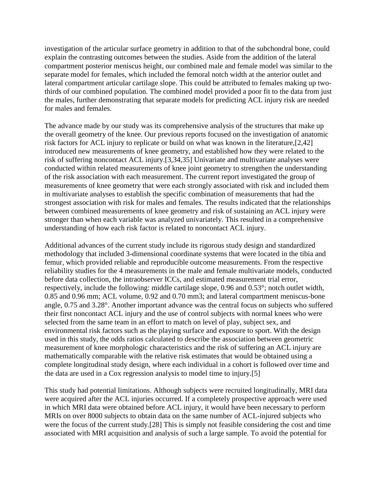investigation of the articular surface geometry in addition to that of the subchondral bone, could explain the contrasting outcomes between the studies. Aside from the addition of the lateral compartment posterior meniscus height, our combined male and female model was similar to the separate model for females, which included the femoral notch width at the anterior outlet and lateral compartment articular cartilage slope. This could be attributed to females making up twothirds of our combined population. The combined model provided a poor fit to the data from just the males, further demonstrating that separate models for predicting ACL injury risk are needed for males and females.

The advance made by our study was its comprehensive analysis of the structures that make up the overall geometry of the knee. Our previous reports focused on the investigation of anatomic risk factors for ACL injury to replicate or build on what was known in the literature,[2,42] introduced new measurements of knee geometry, and established how they were related to the risk of suffering noncontact ACL injury.[3,34,35] Univariate and multivariate analyses were conducted within related measurements of knee joint geometry to strengthen the understanding of the risk association with each measurement. The current report investigated the group of measurements of knee geometry that were each strongly associated with risk and included them in multivariate analyses to establish the specific combination of measurements that had the strongest association with risk for males and females. The results indicated that the relationships between combined measurements of knee geometry and risk of sustaining an ACL injury were stronger than when each variable was analyzed univariately. This resulted in a comprehensive understanding of how each risk factor is related to noncontact ACL injury.

Additional advances of the current study include its rigorous study design and standardized methodology that included 3-dimensional coordinate systems that were located in the tibia and femur, which provided reliable and reproducible outcome measurements. From the respective reliability studies for the 4 measurements in the male and female multivariate models, conducted before data collection, the intraobserver ICCs, and estimated measurement trial error, respectively, include the following: middle cartilage slope, 0.96 and 0.53°; notch outlet width, 0.85 and 0.96 mm; ACL volume, 0.92 and 0.70 mm3; and lateral compartment meniscus-bone angle, 0.75 and 3.28°. Another important advance was the central focus on subjects who suffered their first noncontact ACL injury and the use of control subjects with normal knees who were selected from the same team in an effort to match on level of play, subject sex, and environmental risk factors such as the playing surface and exposure to sport. With the design used in this study, the odds ratios calculated to describe the association between geometric measurement of knee morphologic characteristics and the risk of suffering an ACL injury are mathematically comparable with the relative risk estimates that would be obtained using a complete longitudinal study design, where each individual in a cohort is followed over time and the data are used in a Cox regression analysis to model time to injury.[5]

This study had potential limitations. Although subjects were recruited longitudinally, MRI data were acquired after the ACL injuries occurred. If a completely prospective approach were used in which MRI data were obtained before ACL injury, it would have been necessary to perform MRIs on over 8000 subjects to obtain data on the same number of ACL-injured subjects who were the focus of the current study.[28] This is simply not feasible considering the cost and time associated with MRI acquisition and analysis of such a large sample. To avoid the potential for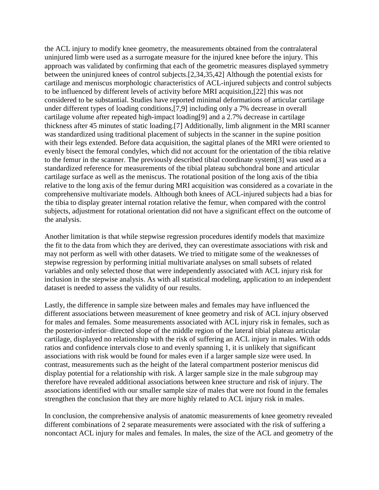the ACL injury to modify knee geometry, the measurements obtained from the contralateral uninjured limb were used as a surrogate measure for the injured knee before the injury. This approach was validated by confirming that each of the geometric measures displayed symmetry between the uninjured knees of control subjects.[2,34,35,42] Although the potential exists for cartilage and meniscus morphologic characteristics of ACL-injured subjects and control subjects to be influenced by different levels of activity before MRI acquisition,[22] this was not considered to be substantial. Studies have reported minimal deformations of articular cartilage under different types of loading conditions,[7,9] including only a 7% decrease in overall cartilage volume after repeated high-impact loading[9] and a 2.7% decrease in cartilage thickness after 45 minutes of static loading.[7] Additionally, limb alignment in the MRI scanner was standardized using traditional placement of subjects in the scanner in the supine position with their legs extended. Before data acquisition, the sagittal planes of the MRI were oriented to evenly bisect the femoral condyles, which did not account for the orientation of the tibia relative to the femur in the scanner. The previously described tibial coordinate system[3] was used as a standardized reference for measurements of the tibial plateau subchondral bone and articular cartilage surface as well as the meniscus. The rotational position of the long axis of the tibia relative to the long axis of the femur during MRI acquisition was considered as a covariate in the comprehensive multivariate models. Although both knees of ACL-injured subjects had a bias for the tibia to display greater internal rotation relative the femur, when compared with the control subjects, adjustment for rotational orientation did not have a significant effect on the outcome of the analysis.

Another limitation is that while stepwise regression procedures identify models that maximize the fit to the data from which they are derived, they can overestimate associations with risk and may not perform as well with other datasets. We tried to mitigate some of the weaknesses of stepwise regression by performing initial multivariate analyses on small subsets of related variables and only selected those that were independently associated with ACL injury risk for inclusion in the stepwise analysis. As with all statistical modeling, application to an independent dataset is needed to assess the validity of our results.

Lastly, the difference in sample size between males and females may have influenced the different associations between measurement of knee geometry and risk of ACL injury observed for males and females. Some measurements associated with ACL injury risk in females, such as the posterior-inferior–directed slope of the middle region of the lateral tibial plateau articular cartilage, displayed no relationship with the risk of suffering an ACL injury in males. With odds ratios and confidence intervals close to and evenly spanning 1, it is unlikely that significant associations with risk would be found for males even if a larger sample size were used. In contrast, measurements such as the height of the lateral compartment posterior meniscus did display potential for a relationship with risk. A larger sample size in the male subgroup may therefore have revealed additional associations between knee structure and risk of injury. The associations identified with our smaller sample size of males that were not found in the females strengthen the conclusion that they are more highly related to ACL injury risk in males.

In conclusion, the comprehensive analysis of anatomic measurements of knee geometry revealed different combinations of 2 separate measurements were associated with the risk of suffering a noncontact ACL injury for males and females. In males, the size of the ACL and geometry of the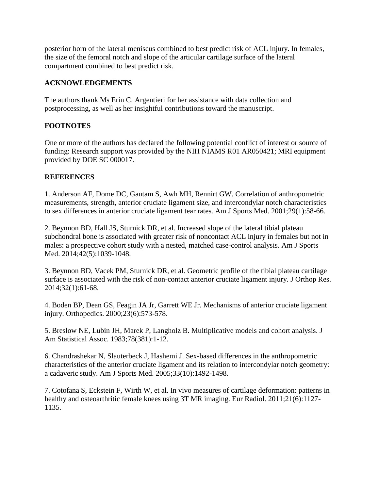posterior horn of the lateral meniscus combined to best predict risk of ACL injury. In females, the size of the femoral notch and slope of the articular cartilage surface of the lateral compartment combined to best predict risk.

# **ACKNOWLEDGEMENTS**

The authors thank Ms Erin C. Argentieri for her assistance with data collection and postprocessing, as well as her insightful contributions toward the manuscript.

# **FOOTNOTES**

One or more of the authors has declared the following potential conflict of interest or source of funding: Research support was provided by the NIH NIAMS R01 AR050421; MRI equipment provided by DOE SC 000017.

## **REFERENCES**

1. Anderson AF, Dome DC, Gautam S, Awh MH, Rennirt GW. Correlation of anthropometric measurements, strength, anterior cruciate ligament size, and intercondylar notch characteristics to sex differences in anterior cruciate ligament tear rates. Am J Sports Med. 2001;29(1):58-66.

2. Beynnon BD, Hall JS, Sturnick DR, et al. Increased slope of the lateral tibial plateau subchondral bone is associated with greater risk of noncontact ACL injury in females but not in males: a prospective cohort study with a nested, matched case-control analysis. Am J Sports Med. 2014;42(5):1039-1048.

3. Beynnon BD, Vacek PM, Sturnick DR, et al. Geometric profile of the tibial plateau cartilage surface is associated with the risk of non-contact anterior cruciate ligament injury. J Orthop Res. 2014;32(1):61-68.

4. Boden BP, Dean GS, Feagin JA Jr, Garrett WE Jr. Mechanisms of anterior cruciate ligament injury. Orthopedics. 2000;23(6):573-578.

5. Breslow NE, Lubin JH, Marek P, Langholz B. Multiplicative models and cohort analysis. J Am Statistical Assoc. 1983;78(381):1-12.

6. Chandrashekar N, Slauterbeck J, Hashemi J. Sex-based differences in the anthropometric characteristics of the anterior cruciate ligament and its relation to intercondylar notch geometry: a cadaveric study. Am J Sports Med. 2005;33(10):1492-1498.

7. Cotofana S, Eckstein F, Wirth W, et al. In vivo measures of cartilage deformation: patterns in healthy and osteoarthritic female knees using 3T MR imaging. Eur Radiol. 2011;21(6):1127- 1135.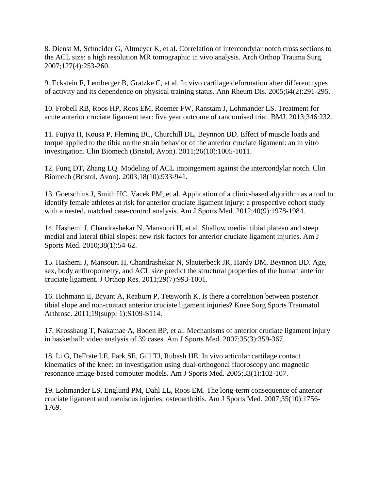8. Dienst M, Schneider G, Altmeyer K, et al. Correlation of intercondylar notch cross sections to the ACL size: a high resolution MR tomographic in vivo analysis. Arch Orthop Trauma Surg. 2007;127(4):253-260.

9. Eckstein F, Lemberger B, Gratzke C, et al. In vivo cartilage deformation after different types of activity and its dependence on physical training status. Ann Rheum Dis. 2005;64(2):291-295.

10. Frobell RB, Roos HP, Roos EM, Roemer FW, Ranstam J, Lohmander LS. Treatment for acute anterior cruciate ligament tear: five year outcome of randomised trial. BMJ. 2013;346:232.

11. Fujiya H, Kousa P, Fleming BC, Churchill DL, Beynnon BD. Effect of muscle loads and torque applied to the tibia on the strain behavior of the anterior cruciate ligament: an in vitro investigation. Clin Biomech (Bristol, Avon). 2011;26(10):1005-1011.

12. Fung DT, Zhang LQ. Modeling of ACL impingement against the intercondylar notch. Clin Biomech (Bristol, Avon). 2003;18(10):933-941.

13. Goetschius J, Smith HC, Vacek PM, et al. Application of a clinic-based algorithm as a tool to identify female athletes at risk for anterior cruciate ligament injury: a prospective cohort study with a nested, matched case-control analysis. Am J Sports Med. 2012;40(9):1978-1984.

14. Hashemi J, Chandrashekar N, Mansouri H, et al. Shallow medial tibial plateau and steep medial and lateral tibial slopes: new risk factors for anterior cruciate ligament injuries. Am J Sports Med. 2010;38(1):54-62.

15. Hashemi J, Mansouri H, Chandrashekar N, Slauterbeck JR, Hardy DM, Beynnon BD. Age, sex, body anthropometry, and ACL size predict the structural properties of the human anterior cruciate ligament. J Orthop Res. 2011;29(7):993-1001.

16. Hohmann E, Bryant A, Reaburn P, Tetsworth K. Is there a correlation between posterior tibial slope and non-contact anterior cruciate ligament injuries? Knee Surg Sports Traumatol Arthrosc. 2011;19(suppl 1):S109-S114.

17. Krosshaug T, Nakamae A, Boden BP, et al. Mechanisms of anterior cruciate ligament injury in basketball: video analysis of 39 cases. Am J Sports Med. 2007;35(3):359-367.

18. Li G, DeFrate LE, Park SE, Gill TJ, Rubash HE. In vivo articular cartilage contact kinematics of the knee: an investigation using dual-orthogonal fluoroscopy and magnetic resonance image-based computer models. Am J Sports Med. 2005;33(1):102-107.

19. Lohmander LS, Englund PM, Dahl LL, Roos EM. The long-term consequence of anterior cruciate ligament and meniscus injuries: osteoarthritis. Am J Sports Med. 2007;35(10):1756- 1769.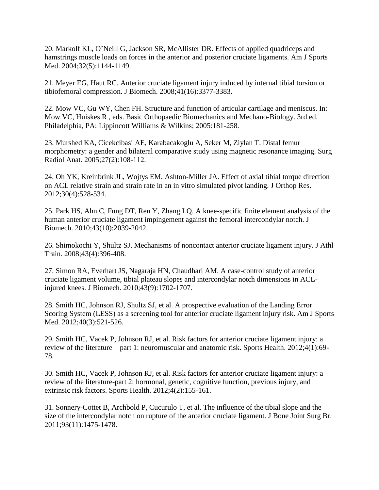20. Markolf KL, O'Neill G, Jackson SR, McAllister DR. Effects of applied quadriceps and hamstrings muscle loads on forces in the anterior and posterior cruciate ligaments. Am J Sports Med. 2004;32(5):1144-1149.

21. Meyer EG, Haut RC. Anterior cruciate ligament injury induced by internal tibial torsion or tibiofemoral compression. J Biomech. 2008;41(16):3377-3383.

22. Mow VC, Gu WY, Chen FH. Structure and function of articular cartilage and meniscus. In: Mow VC, Huiskes R , eds. Basic Orthopaedic Biomechanics and Mechano-Biology. 3rd ed. Philadelphia, PA: Lippincott Williams & Wilkins; 2005:181-258.

23. Murshed KA, Cicekcibasi AE, Karabacakoglu A, Seker M, Ziylan T. Distal femur morphometry: a gender and bilateral comparative study using magnetic resonance imaging. Surg Radiol Anat. 2005;27(2):108-112.

24. Oh YK, Kreinbrink JL, Wojtys EM, Ashton-Miller JA. Effect of axial tibial torque direction on ACL relative strain and strain rate in an in vitro simulated pivot landing. J Orthop Res. 2012;30(4):528-534.

25. Park HS, Ahn C, Fung DT, Ren Y, Zhang LQ. A knee-specific finite element analysis of the human anterior cruciate ligament impingement against the femoral intercondylar notch. J Biomech. 2010;43(10):2039-2042.

26. Shimokochi Y, Shultz SJ. Mechanisms of noncontact anterior cruciate ligament injury. J Athl Train. 2008;43(4):396-408.

27. Simon RA, Everhart JS, Nagaraja HN, Chaudhari AM. A case-control study of anterior cruciate ligament volume, tibial plateau slopes and intercondylar notch dimensions in ACLinjured knees. J Biomech. 2010;43(9):1702-1707.

28. Smith HC, Johnson RJ, Shultz SJ, et al. A prospective evaluation of the Landing Error Scoring System (LESS) as a screening tool for anterior cruciate ligament injury risk. Am J Sports Med. 2012;40(3):521-526.

29. Smith HC, Vacek P, Johnson RJ, et al. Risk factors for anterior cruciate ligament injury: a review of the literature—part 1: neuromuscular and anatomic risk. Sports Health. 2012;4(1):69- 78.

30. Smith HC, Vacek P, Johnson RJ, et al. Risk factors for anterior cruciate ligament injury: a review of the literature-part 2: hormonal, genetic, cognitive function, previous injury, and extrinsic risk factors. Sports Health. 2012;4(2):155-161.

31. Sonnery-Cottet B, Archbold P, Cucurulo T, et al. The influence of the tibial slope and the size of the intercondylar notch on rupture of the anterior cruciate ligament. J Bone Joint Surg Br. 2011;93(11):1475-1478.